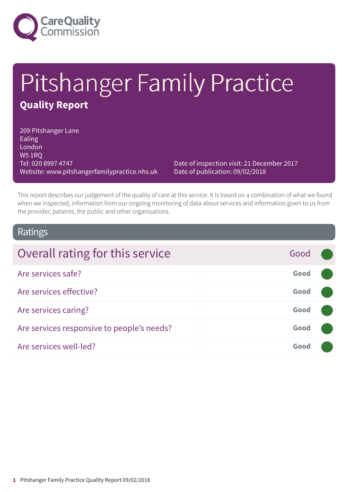

# Pitshanger Family Practice **Quality Report**

209 Pitshanger Lane Ealing London W5 1RQ Tel: 020 8997 4747 Website: www.pitshangerfamilypractice.nhs.uk

Date of inspection visit: 21 December 2017 Date of publication: 09/02/2018

This report describes our judgement of the quality of care at this service. It is based on a combination of what we found when we inspected, information from our ongoing monitoring of data about services and information given to us from the provider, patients, the public and other organisations.

#### Ratings

| Overall rating for this service            | Good |  |
|--------------------------------------------|------|--|
| Are services safe?                         | Good |  |
| Are services effective?                    | Good |  |
| Are services caring?                       | Good |  |
| Are services responsive to people's needs? | Good |  |
| Are services well-led?                     | Good |  |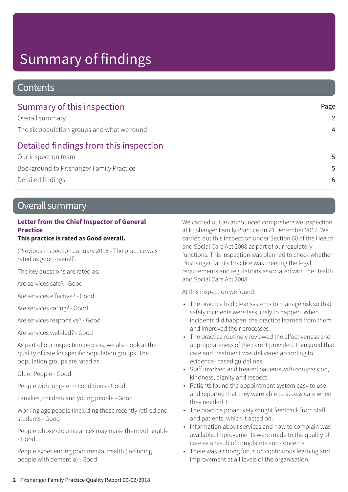# Summary of findings

### **Contents**

| Summary of this inspection                  | Page           |
|---------------------------------------------|----------------|
| Overall summary                             | $\mathcal{P}$  |
| The six population groups and what we found | $\overline{4}$ |
| Detailed findings from this inspection      |                |
| Our inspection team                         | .5             |
| Background to Pitshanger Family Practice    | .5             |
| Detailed findings                           | 6              |

### Overall summary

#### **Letter from the Chief Inspector of General Practice**

#### **This practice is rated as Good overall.**

(Previous inspection January 2015 - The practice was rated as good overall).

The key questions are rated as:

Are services safe? - Good

Are services effective? - Good

Are services caring? - Good

Are services responsive? - Good

Are services well-led? - Good

As part of our inspection process, we also look at the quality of care for specific population groups. The population groups are rated as:

Older People - Good

People with long-term conditions - Good

Families, children and young people - Good

Working age people (including those recently retired and students - Good

People whose circumstances may make them vulnerable - Good

People experiencing poor mental health (including people with dementia) - Good

We carried out an announced comprehensive inspection at Pitshanger Family Practice on 21 December 2017. We carried out this inspection under Section 60 of the Health and Social Care Act 2008 as part of our regulatory functions. This inspection was planned to check whether Pitshanger Family Practice was meeting the legal requirements and regulations associated with the Health and Social Care Act 2008.

At this inspection we found:

- The practice had clear systems to manage risk so that safety incidents were less likely to happen. When incidents did happen, the practice learned from them and improved their processes.
- The practice routinely reviewed the effectiveness and appropriateness of the care it provided. It ensured that care and treatment was delivered according to evidence- based guidelines.
- Staff involved and treated patients with compassion, kindness, dignity and respect.
- Patients found the appointment system easy to use and reported that they were able to access care when they needed it.
- The practice proactively sought feedback from staff and patients, which it acted on.
- Information about services and how to complain was available. Improvements were made to the quality of care as a result of complaints and concerns.
- There was a strong focus on continuous learning and improvement at all levels of the organisation.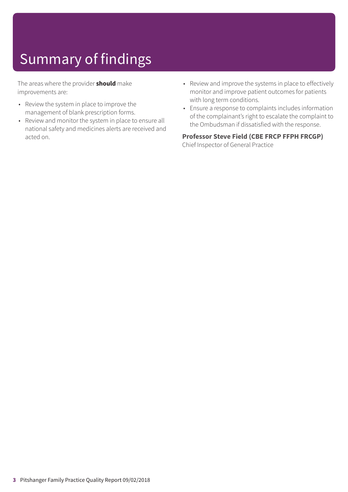# Summary of findings

The areas where the provider **should** make improvements are:

- Review the system in place to improve the management of blank prescription forms.
- Review and monitor the system in place to ensure all national safety and medicines alerts are received and acted on.
- Review and improve the systems in place to effectively monitor and improve patient outcomes for patients with long term conditions.
- Ensure a response to complaints includes information of the complainant's right to escalate the complaint to the Ombudsman if dissatisfied with the response.

#### **Professor Steve Field (CBE FRCP FFPH FRCGP)**

Chief Inspector of General Practice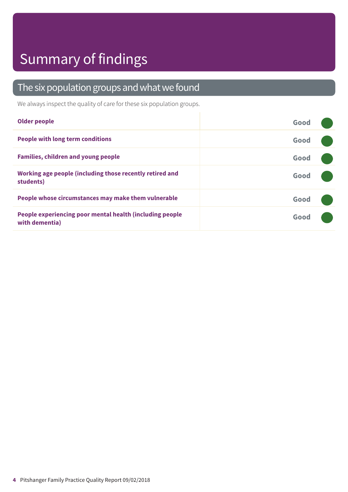# Summary of findings

### The six population groups and what we found

We always inspect the quality of care for these six population groups.

| <b>Older people</b>                                                        | Good |
|----------------------------------------------------------------------------|------|
| <b>People with long term conditions</b>                                    | Good |
| <b>Families, children and young people</b>                                 | Good |
| Working age people (including those recently retired and<br>students)      | Good |
| People whose circumstances may make them vulnerable                        | Good |
| People experiencing poor mental health (including people<br>with dementia) | Good |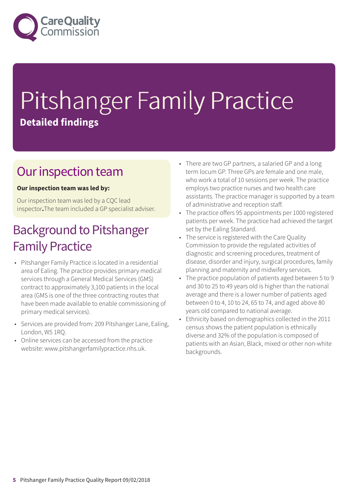

# Pitshanger Family Practice **Detailed findings**

### Our inspection team

#### **Our inspection team was led by:**

Our inspection team was led by a CQC lead inspector**.**The team included a GP specialist adviser.

### **Background to Pitshanger Family Practice**

- Pitshanger Family Practice is located in a residential area of Ealing. The practice provides primary medical services through a General Medical Services (GMS) contract to approximately 3,100 patients in the local area (GMS is one of the three contracting routes that have been made available to enable commissioning of primary medical services).
- Services are provided from: 209 Pitshanger Lane, Ealing, London, W5 1RQ.
- Online services can be accessed from the practice website: www.pitshangerfamilypractice.nhs.uk.
- There are two GP partners, a salaried GP and a long term locum GP. Three GPs are female and one male, who work a total of 10 sessions per week. The practice employs two practice nurses and two health care assistants. The practice manager is supported by a team of administrative and reception staff.
- The practice offers 95 appointments per 1000 registered patients per week. The practice had achieved the target set by the Ealing Standard.
- The service is registered with the Care Quality Commission to provide the regulated activities of diagnostic and screening procedures, treatment of disease, disorder and injury, surgical procedures, family planning and maternity and midwifery services.
- The practice population of patients aged between 5 to 9 and 30 to 25 to 49 years old is higher than the national average and there is a lower number of patients aged between 0 to 4, 10 to 24, 65 to 74, and aged above 80 years old compared to national average.
- Ethnicity based on demographics collected in the 2011 census shows the patient population is ethnically diverse and 32% of the population is composed of patients with an Asian, Black, mixed or other non-white backgrounds.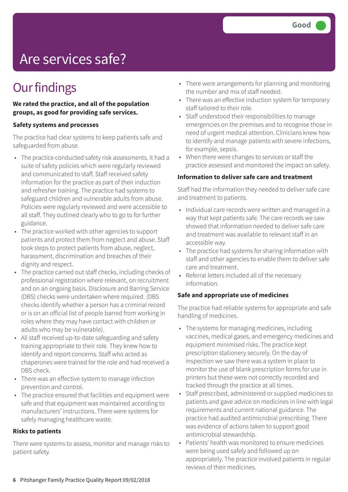# Are services safe?

### **Our findings**

**We rated the practice, and all of the population groups, as good for providing safe services.**

#### **Safety systems and processes**

The practice had clear systems to keep patients safe and safeguarded from abuse.

- The practice conducted safety risk assessments. It had a suite of safety policies which were regularly reviewed and communicated to staff. Staff received safety information for the practice as part of their induction and refresher training. The practice had systems to safeguard children and vulnerable adults from abuse. Policies were regularly reviewed and were accessible to all staff. They outlined clearly who to go to for further guidance.
- The practice worked with other agencies to support patients and protect them from neglect and abuse. Staff took steps to protect patients from abuse, neglect, harassment, discrimination and breaches of their dignity and respect.
- The practice carried out staff checks, including checks of professional registration where relevant, on recruitment and on an ongoing basis. Disclosure and Barring Service (DBS) checks were undertaken where required. (DBS checks identify whether a person has a criminal record or is on an official list of people barred from working in roles where they may have contact with children or adults who may be vulnerable).
- All staff received up-to-date safeguarding and safety training appropriate to their role. They knew how to identify and report concerns. Staff who acted as chaperones were trained for the role and had received a DBS check.
- There was an effective system to manage infection prevention and control.
- The practice ensured that facilities and equipment were safe and that equipment was maintained according to manufacturers' instructions. There were systems for safely managing healthcare waste.

#### **Risks to patients**

There were systems to assess, monitor and manage risks to patient safety.

- There were arrangements for planning and monitoring the number and mix of staff needed.
- There was an effective induction system for temporary staff tailored to their role.
- Staff understood their responsibilities to manage emergencies on the premises and to recognise those in need of urgent medical attention. Clinicians knew how to identify and manage patients with severe infections, for example, sepsis.
- When there were changes to services or staff the practice assessed and monitored the impact on safety.

#### **Information to deliver safe care and treatment**

Staff had the information they needed to deliver safe care and treatment to patients.

- Individual care records were written and managed in a way that kept patients safe. The care records we saw showed that information needed to deliver safe care and treatment was available to relevant staff in an accessible way.
- The practice had systems for sharing information with staff and other agencies to enable them to deliver safe care and treatment.
- Referral letters included all of the necessary information.

#### **Safe and appropriate use of medicines**

The practice had reliable systems for appropriate and safe handling of medicines.

- The systems for managing medicines, including vaccines, medical gases, and emergency medicines and equipment minimised risks. The practice kept prescription stationery securely. On the day of inspection we saw there was a system in place to monitor the use of blank prescription forms for use in printers but these were not correctly recorded and tracked through the practice at all times.
- Staff prescribed, administered or supplied medicines to patients and gave advice on medicines in line with legal requirements and current national guidance. The practice had audited antimicrobial prescribing. There was evidence of actions taken to support good antimicrobial stewardship.
- Patients' health was monitored to ensure medicines were being used safely and followed up on appropriately. The practice involved patients in regular reviews of their medicines.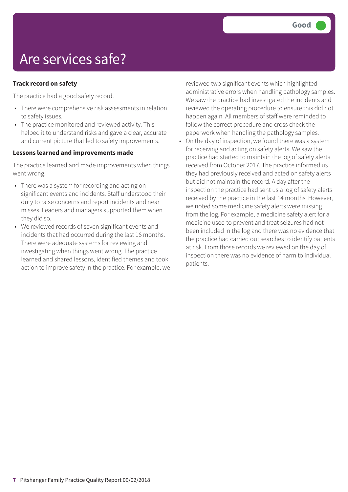## Are services safe?

#### **Track record on safety**

The practice had a good safety record.

- There were comprehensive risk assessments in relation to safety issues.
- The practice monitored and reviewed activity. This helped it to understand risks and gave a clear, accurate and current picture that led to safety improvements.

#### **Lessons learned and improvements made**

The practice learned and made improvements when things went wrong.

- There was a system for recording and acting on significant events and incidents. Staff understood their duty to raise concerns and report incidents and near misses. Leaders and managers supported them when they did so.
- We reviewed records of seven significant events and incidents that had occurred during the last 16 months. There were adequate systems for reviewing and investigating when things went wrong. The practice learned and shared lessons, identified themes and took action to improve safety in the practice. For example, we

reviewed two significant events which highlighted administrative errors when handling pathology samples. We saw the practice had investigated the incidents and reviewed the operating procedure to ensure this did not happen again. All members of staff were reminded to follow the correct procedure and cross check the paperwork when handling the pathology samples.

• On the day of inspection, we found there was a system for receiving and acting on safety alerts. We saw the practice had started to maintain the log of safety alerts received from October 2017. The practice informed us they had previously received and acted on safety alerts but did not maintain the record. A day after the inspection the practice had sent us a log of safety alerts received by the practice in the last 14 months. However, we noted some medicine safety alerts were missing from the log. For example, a medicine safety alert for a medicine used to prevent and treat seizures had not been included in the log and there was no evidence that the practice had carried out searches to identify patients at risk. From those records we reviewed on the day of inspection there was no evidence of harm to individual patients.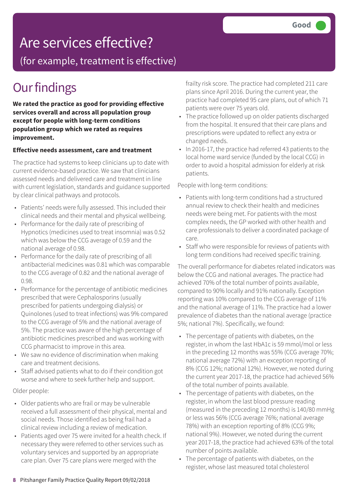(for example, treatment is effective)

### **Our findings**

**We rated the practice as good for providing effective services overall and across all population group except for people with long-term conditions population group which we rated as requires improvement.**

#### **Effective needs assessment, care and treatment**

The practice had systems to keep clinicians up to date with current evidence-based practice. We saw that clinicians assessed needs and delivered care and treatment in line with current legislation, standards and guidance supported by clear clinical pathways and protocols.

- Patients' needs were fully assessed. This included their clinical needs and their mental and physical wellbeing.
- Performance for the daily rate of prescribing of Hypnotics (medicines used to treat insomnia) was 0.52 which was below the CCG average of 0.59 and the national average of 0.98.
- Performance for the daily rate of prescribing of all antibacterial medicines was 0.81 which was comparable to the CCG average of 0.82 and the national average of 0.98.
- Performance for the percentage of antibiotic medicines prescribed that were Cephalosporins (usually prescribed for patients undergoing dialysis) or Quinolones (used to treat infections) was 9% compared to the CCG average of 5% and the national average of 5%. The practice was aware of the high percentage of antibiotic medicines prescribed and was working with CCG pharmacist to improve in this area.
- We saw no evidence of discrimination when making care and treatment decisions.
- Staff advised patients what to do if their condition got worse and where to seek further help and support.

#### Older people:

- Older patients who are frail or may be vulnerable received a full assessment of their physical, mental and social needs. Those identified as being frail had a clinical review including a review of medication.
- Patients aged over 75 were invited for a health check. If necessary they were referred to other services such as voluntary services and supported by an appropriate care plan. Over 75 care plans were merged with the

frailty risk score. The practice had completed 211 care plans since April 2016. During the current year, the practice had completed 95 care plans, out of which 71 patients were over 75 years old.

- The practice followed up on older patients discharged from the hospital. It ensured that their care plans and prescriptions were updated to reflect any extra or changed needs.
- In 2016-17, the practice had referred 43 patients to the local home ward service (funded by the local CCG) in order to avoid a hospital admission for elderly at risk patients.

#### People with long-term conditions:

- Patients with long-term conditions had a structured annual review to check their health and medicines needs were being met. For patients with the most complex needs, the GP worked with other health and care professionals to deliver a coordinated package of care.
- Staff who were responsible for reviews of patients with long term conditions had received specific training.

The overall performance for diabetes related indicators was below the CCG and national averages. The practice had achieved 70% of the total number of points available, compared to 90% locally and 91% nationally. Exception reporting was 10% compared to the CCG average of 11% and the national average of 11%. The practice had a lower prevalence of diabetes than the national average (practice 5%; national 7%). Specifically, we found:

- The percentage of patients with diabetes, on the register, in whom the last HbA1c is 59 mmol/mol or less in the preceding 12 months was 55% (CCG average 70%; national average 72%) with an exception reporting of 8% (CCG 12%; national 12%). However, we noted during the current year 2017-18, the practice had achieved 56% of the total number of points available.
- The percentage of patients with diabetes, on the register, in whom the last blood pressure reading (measured in the preceding 12 months) is 140/80 mmHg or less was 56% (CCG average 76%; national average 78%) with an exception reporting of 8% (CCG 9%; national 9%). However, we noted during the current year 2017-18, the practice had achieved 63% of the total number of points available.
- The percentage of patients with diabetes, on the register, whose last measured total cholesterol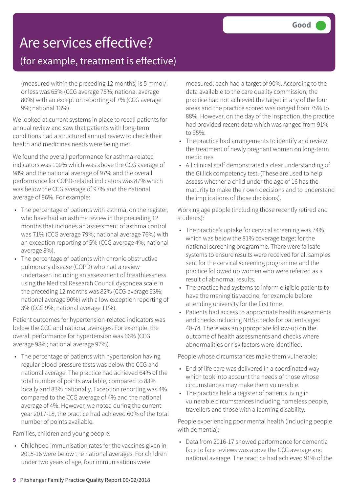### (for example, treatment is effective)

(measured within the preceding 12 months) is 5 mmol/l or less was 65% (CCG average 75%; national average 80%) with an exception reporting of 7% (CCG average 9%; national 13%).

We looked at current systems in place to recall patients for annual review and saw that patients with long-term conditions had a structured annual review to check their health and medicines needs were being met.

We found the overall performance for asthma-related indicators was 100% which was above the CCG average of 98% and the national average of 97% and the overall performance for COPD-related indicators was 87% which was below the CCG average of 97% and the national average of 96%. For example:

- The percentage of patients with asthma, on the register, who have had an asthma review in the preceding 12 months that includes an assessment of asthma control was 71% (CCG average 79%; national average 76%) with an exception reporting of 5% (CCG average 4%; national average 8%).
- The percentage of patients with chronic obstructive pulmonary disease (COPD) who had a review undertaken including an assessment of breathlessness using the Medical Research Council dyspnoea scale in the preceding 12 months was 82% (CCG average 93%; national average 90%) with a low exception reporting of 3% (CCG 9%; national average 11%).

Patient outcomes for hypertension-related indicators was below the CCG and national averages. For example, the overall performance for hypertension was 66% (CCG average 98%; national average 97%).

• The percentage of patients with hypertension having regular blood pressure tests was below the CCG and national average. The practice had achieved 64% of the total number of points available, compared to 83% locally and 83% nationally. Exception reporting was 4% compared to the CCG average of 4% and the national average of 4%. However, we noted during the current year 2017-18, the practice had achieved 60% of the total number of points available.

Families, children and young people:

• Childhood immunisation rates for the vaccines given in 2015-16 were below the national averages. For children under two years of age, four immunisations were

measured; each had a target of 90%. According to the data available to the care quality commission, the practice had not achieved the target in any of the four areas and the practice scored was ranged from 75% to 88%. However, on the day of the inspection, the practice had provided recent data which was ranged from 91% to 95%.

- The practice had arrangements to identify and review the treatment of newly pregnant women on long-term medicines.
- All clinical staff demonstrated a clear understanding of the Gillick competency test. (These are used to help assess whether a child under the age of 16 has the maturity to make their own decisions and to understand the implications of those decisions).

Working age people (including those recently retired and students):

- The practice's uptake for cervical screening was 74%, which was below the 81% coverage target for the national screening programme. There were failsafe systems to ensure results were received for all samples sent for the cervical screening programme and the practice followed up women who were referred as a result of abnormal results.
- The practice had systems to inform eligible patients to have the meningitis vaccine, for example before attending university for the first time.
- Patients had access to appropriate health assessments and checks including NHS checks for patients aged 40-74. There was an appropriate follow-up on the outcome of health assessments and checks where abnormalities or risk factors were identified.

People whose circumstances make them vulnerable:

- End of life care was delivered in a coordinated way which took into account the needs of those whose circumstances may make them vulnerable.
- The practice held a register of patients living in vulnerable circumstances including homeless people, travellers and those with a learning disability.

People experiencing poor mental health (including people with dementia):

• Data from 2016-17 showed performance for dementia face to face reviews was above the CCG average and national average. The practice had achieved 91% of the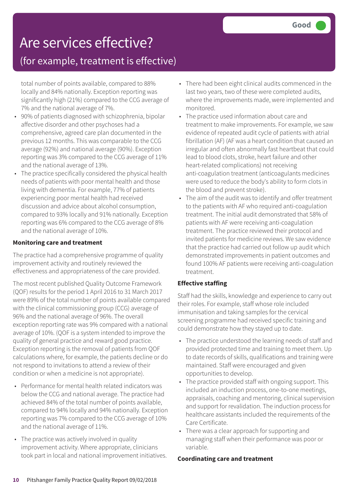### (for example, treatment is effective)

total number of points available, compared to 88% locally and 84% nationally. Exception reporting was significantly high (21%) compared to the CCG average of 7% and the national average of 7%.

- 90% of patients diagnosed with schizophrenia, bipolar affective disorder and other psychoses had a comprehensive, agreed care plan documented in the previous 12 months. This was comparable to the CCG average (92%) and national average (90%). Exception reporting was 3% compared to the CCG average of 11% and the national average of 13%.
- The practice specifically considered the physical health needs of patients with poor mental health and those living with dementia. For example, 77% of patients experiencing poor mental health had received discussion and advice about alcohol consumption, compared to 93% locally and 91% nationally. Exception reporting was 6% compared to the CCG average of 8% and the national average of 10%.

#### **Monitoring care and treatment**

The practice had a comprehensive programme of quality improvement activity and routinely reviewed the effectiveness and appropriateness of the care provided.

The most recent published Quality Outcome Framework (QOF) results for the period 1 April 2016 to 31 March 2017 were 89% of the total number of points available compared with the clinical commissioning group (CCG) average of 96% and the national average of 96%. The overall exception reporting rate was 9% compared with a national average of 10%. (QOF is a system intended to improve the quality of general practice and reward good practice. Exception reporting is the removal of patients from QOF calculations where, for example, the patients decline or do not respond to invitations to attend a review of their condition or when a medicine is not appropriate).

- Performance for mental health related indicators was below the CCG and national average. The practice had achieved 84% of the total number of points available, compared to 94% locally and 94% nationally. Exception reporting was 7% compared to the CCG average of 10% and the national average of 11%.
- The practice was actively involved in quality improvement activity. Where appropriate, clinicians took part in local and national improvement initiatives.
- There had been eight clinical audits commenced in the last two years, two of these were completed audits, where the improvements made, were implemented and monitored.
- The practice used information about care and treatment to make improvements. For example, we saw evidence of repeated audit cycle of patients with atrial fibrillation (AF) (AF was a heart condition that caused an irregular and often abnormally fast heartbeat that could lead to blood clots, stroke, heart failure and other heart-related complications) not receiving anti-coagulation treatment (anticoagulants medicines were used to reduce the body's ability to form clots in the blood and prevent stroke).
- The aim of the audit was to identify and offer treatment to the patients with AF who required anti-coagulation treatment. The initial audit demonstrated that 58% of patients with AF were receiving anti-coagulation treatment. The practice reviewed their protocol and invited patients for medicine reviews. We saw evidence that the practice had carried out follow up audit which demonstrated improvements in patient outcomes and found 100% AF patients were receiving anti-coagulation treatment.

#### **Effective staffing**

Staff had the skills, knowledge and experience to carry out their roles. For example, staff whose role included immunisation and taking samples for the cervical screening programme had received specific training and could demonstrate how they stayed up to date.

- The practice understood the learning needs of staff and provided protected time and training to meet them. Up to date records of skills, qualifications and training were maintained. Staff were encouraged and given opportunities to develop.
- The practice provided staff with ongoing support. This included an induction process, one-to-one meetings, appraisals, coaching and mentoring, clinical supervision and support for revalidation. The induction process for healthcare assistants included the requirements of the Care Certificate.
- There was a clear approach for supporting and managing staff when their performance was poor or variable.

#### **Coordinating care and treatment**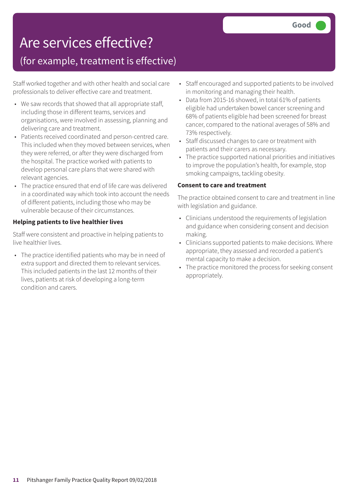### (for example, treatment is effective)

Staff worked together and with other health and social care professionals to deliver effective care and treatment.

- We saw records that showed that all appropriate staff, including those in different teams, services and organisations, were involved in assessing, planning and delivering care and treatment.
- Patients received coordinated and person-centred care. This included when they moved between services, when they were referred, or after they were discharged from the hospital. The practice worked with patients to develop personal care plans that were shared with relevant agencies.
- The practice ensured that end of life care was delivered in a coordinated way which took into account the needs of different patients, including those who may be vulnerable because of their circumstances.

#### **Helping patients to live healthier lives**

Staff were consistent and proactive in helping patients to live healthier lives.

• The practice identified patients who may be in need of extra support and directed them to relevant services. This included patients in the last 12 months of their lives, patients at risk of developing a long-term condition and carers.

- Staff encouraged and supported patients to be involved in monitoring and managing their health.
- Data from 2015-16 showed, in total 61% of patients eligible had undertaken bowel cancer screening and 68% of patients eligible had been screened for breast cancer, compared to the national averages of 58% and 73% respectively.
- Staff discussed changes to care or treatment with patients and their carers as necessary.
- The practice supported national priorities and initiatives to improve the population's health, for example, stop smoking campaigns, tackling obesity.

#### **Consent to care and treatment**

The practice obtained consent to care and treatment in line with legislation and guidance.

- Clinicians understood the requirements of legislation and guidance when considering consent and decision making.
- Clinicians supported patients to make decisions. Where appropriate, they assessed and recorded a patient's mental capacity to make a decision.
- The practice monitored the process for seeking consent appropriately.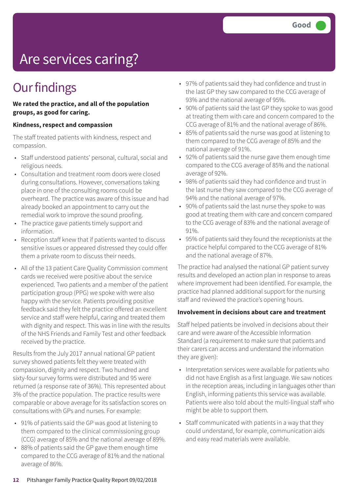# Are services caring?

### **Our findings**

#### **We rated the practice, and all of the population groups, as good for caring.**

#### **Kindness, respect and compassion**

The staff treated patients with kindness, respect and compassion.

- Staff understood patients' personal, cultural, social and religious needs.
- Consultation and treatment room doors were closed during consultations. However, conversations taking place in one of the consulting rooms could be overheard. The practice was aware of this issue and had already booked an appointment to carry out the remedial work to improve the sound proofing.
- The practice gave patients timely support and information.
- Reception staff knew that if patients wanted to discuss sensitive issues or appeared distressed they could offer them a private room to discuss their needs.
- All of the 13 patient Care Quality Commission comment cards we received were positive about the service experienced. Two patients and a member of the patient participation group (PPG) we spoke with were also happy with the service. Patients providing positive feedback said they felt the practice offered an excellent service and staff were helpful, caring and treated them with dignity and respect. This was in line with the results of the NHS Friends and Family Test and other feedback received by the practice.

Results from the July 2017 annual national GP patient survey showed patients felt they were treated with compassion, dignity and respect. Two hundred and sixty-four survey forms were distributed and 95 were returned (a response rate of 36%). This represented about 3% of the practice population. The practice results were comparable or above average for its satisfaction scores on consultations with GPs and nurses. For example:

- 91% of patients said the GP was good at listening to them compared to the clinical commissioning group (CCG) average of 85% and the national average of 89%.
- 88% of patients said the GP gave them enough time compared to the CCG average of 81% and the national average of 86%.
- 97% of patients said they had confidence and trust in the last GP they saw compared to the CCG average of 93% and the national average of 95%.
- 90% of patients said the last GP they spoke to was good at treating them with care and concern compared to the CCG average of 81% and the national average of 86%.
- 85% of patients said the nurse was good at listening to them compared to the CCG average of 85% and the national average of 91%.
- 92% of patients said the nurse gave them enough time compared to the CCG average of 85% and the national average of 92%.
- 98% of patients said they had confidence and trust in the last nurse they saw compared to the CCG average of 94% and the national average of 97%.
- 90% of patients said the last nurse they spoke to was good at treating them with care and concern compared to the CCG average of 83% and the national average of 91%.
- 95% of patients said they found the receptionists at the practice helpful compared to the CCG average of 81% and the national average of 87%.

The practice had analysed the national GP patient survey results and developed an action plan in response to areas where improvement had been identified. For example, the practice had planned additional support for the nursing staff and reviewed the practice's opening hours.

#### **Involvement in decisions about care and treatment**

Staff helped patients be involved in decisions about their care and were aware of the Accessible Information Standard (a requirement to make sure that patients and their carers can access and understand the information they are given):

- Interpretation services were available for patients who did not have English as a first language. We saw notices in the reception areas, including in languages other than English, informing patients this service was available. Patients were also told about the multi-lingual staff who might be able to support them.
- Staff communicated with patients in a way that they could understand, for example, communication aids and easy read materials were available.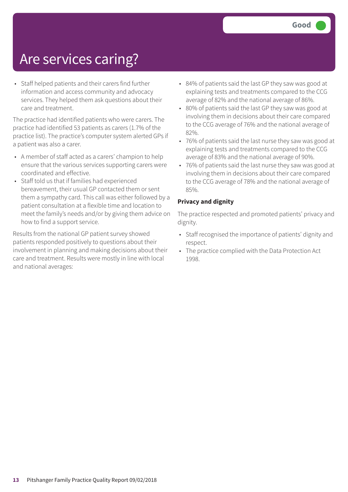## Are services caring?

• Staff helped patients and their carers find further information and access community and advocacy services. They helped them ask questions about their care and treatment.

The practice had identified patients who were carers. The practice had identified 53 patients as carers (1.7% of the practice list). The practice's computer system alerted GPs if a patient was also a carer.

- A member of staff acted as a carers' champion to help ensure that the various services supporting carers were coordinated and effective.
- Staff told us that if families had experienced bereavement, their usual GP contacted them or sent them a sympathy card. This call was either followed by a patient consultation at a flexible time and location to meet the family's needs and/or by giving them advice on how to find a support service.

Results from the national GP patient survey showed patients responded positively to questions about their involvement in planning and making decisions about their care and treatment. Results were mostly in line with local and national averages:

- 84% of patients said the last GP they saw was good at explaining tests and treatments compared to the CCG average of 82% and the national average of 86%.
- 80% of patients said the last GP they saw was good at involving them in decisions about their care compared to the CCG average of 76% and the national average of 82%.
- 76% of patients said the last nurse they saw was good at explaining tests and treatments compared to the CCG average of 83% and the national average of 90%.
- 76% of patients said the last nurse they saw was good at involving them in decisions about their care compared to the CCG average of 78% and the national average of 85%.

#### **Privacy and dignity**

The practice respected and promoted patients' privacy and dignity.

- Staff recognised the importance of patients' dignity and respect.
- The practice complied with the Data Protection Act 1998.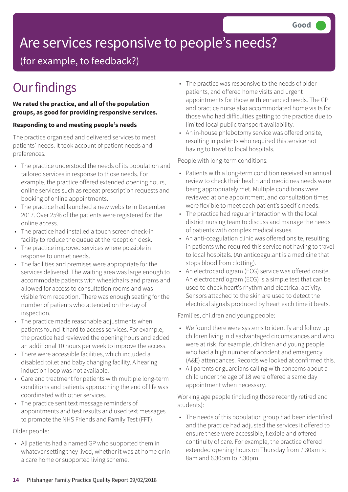# Are services responsive to people's needs?

(for example, to feedback?)

## **Our findings**

#### **We rated the practice, and all of the population groups, as good for providing responsive services.**

#### **Responding to and meeting people's needs**

The practice organised and delivered services to meet patients' needs. It took account of patient needs and preferences.

- The practice understood the needs of its population and tailored services in response to those needs. For example, the practice offered extended opening hours, online services such as repeat prescription requests and booking of online appointments.
- The practice had launched a new website in December 2017. Over 25% of the patients were registered for the online access.
- The practice had installed a touch screen check-in facility to reduce the queue at the reception desk.
- The practice improved services where possible in response to unmet needs.
- The facilities and premises were appropriate for the services delivered. The waiting area was large enough to accommodate patients with wheelchairs and prams and allowed for access to consultation rooms and was visible from reception. There was enough seating for the number of patients who attended on the day of inspection.
- The practice made reasonable adjustments when patients found it hard to access services. For example, the practice had reviewed the opening hours and added an additional 10 hours per week to improve the access.
- There were accessible facilities, which included a disabled toilet and baby changing facility. A hearing induction loop was not available.
- Care and treatment for patients with multiple long-term conditions and patients approaching the end of life was coordinated with other services.
- The practice sent text message reminders of appointments and test results and used text messages to promote the NHS Friends and Family Test (FFT).

Older people:

• All patients had a named GP who supported them in whatever setting they lived, whether it was at home or in a care home or supported living scheme.

- The practice was responsive to the needs of older patients, and offered home visits and urgent appointments for those with enhanced needs. The GP and practice nurse also accommodated home visits for those who had difficulties getting to the practice due to limited local public transport availability.
- An in-house phlebotomy service was offered onsite, resulting in patients who required this service not having to travel to local hospitals.

People with long-term conditions:

- Patients with a long-term condition received an annual review to check their health and medicines needs were being appropriately met. Multiple conditions were reviewed at one appointment, and consultation times were flexible to meet each patient's specific needs.
- The practice had regular interaction with the local district nursing team to discuss and manage the needs of patients with complex medical issues.
- An anti-coagulation clinic was offered onsite, resulting in patients who required this service not having to travel to local hospitals. (An anticoagulant is a medicine that stops blood from clotting).
- An electrocardiogram (ECG) service was offered onsite. An electrocardiogram (ECG) is a simple test that can be used to check heart's rhythm and electrical activity. Sensors attached to the skin are used to detect the electrical signals produced by heart each time it beats.

Families, children and young people:

- We found there were systems to identify and follow up children living in disadvantaged circumstances and who were at risk, for example, children and young people who had a high number of accident and emergency (A&E) attendances. Records we looked at confirmed this.
- All parents or guardians calling with concerns about a child under the age of 18 were offered a same day appointment when necessary.

Working age people (including those recently retired and students):

• The needs of this population group had been identified and the practice had adjusted the services it offered to ensure these were accessible, flexible and offered continuity of care. For example, the practice offered extended opening hours on Thursday from 7.30am to 8am and 6.30pm to 7.30pm.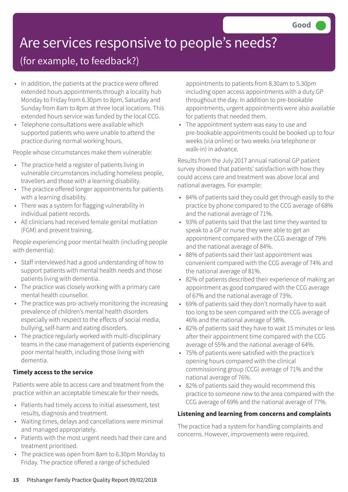# Are services responsive to people's needs?

### (for example, to feedback?)

- In addition, the patients at the practice were offered extended hours appointments through a locality hub Monday to Friday from 6.30pm to 8pm, Saturday and Sunday from 8am to 8pm at three local locations. This extended hours service was funded by the local CCG.
- Telephone consultations were available which supported patients who were unable to attend the practice during normal working hours.

People whose circumstances make them vulnerable:

- The practice held a register of patients living in vulnerable circumstances including homeless people, travellers and those with a learning disability.
- The practice offered longer appointments for patients with a learning disability.
- There was a system for flagging vulnerability in individual patient records.
- All clinicians had received female genital mutilation (FGM) and prevent training.

People experiencing poor mental health (including people with dementia):

- Staff interviewed had a good understanding of how to support patients with mental health needs and those patients living with dementia.
- The practice was closely working with a primary care mental health counsellor.
- The practice was pro-actively monitoring the increasing prevalence of children's mental health disorders especially with respect to the effects of social media, bullying, self-harm and eating disorders.
- The practice regularly worked with multi-disciplinary teams in the case management of patients experiencing poor mental health, including those living with dementia.

#### **Timely access to the service**

Patients were able to access care and treatment from the practice within an acceptable timescale for their needs.

- Patients had timely access to initial assessment, test results, diagnosis and treatment.
- Waiting times, delays and cancellations were minimal and managed appropriately.
- Patients with the most urgent needs had their care and treatment prioritised.
- The practice was open from 8am to 6.30pm Monday to Friday. The practice offered a range of scheduled

appointments to patients from 8.30am to 5.30pm including open access appointments with a duty GP throughout the day. In addition to pre-bookable appointments, urgent appointments were also available for patients that needed them.

• The appointment system was easy to use and pre-bookable appointments could be booked up to four weeks (via online) or two weeks (via telephone or walk-in) in advance.

Results from the July 2017 annual national GP patient survey showed that patients' satisfaction with how they could access care and treatment was above local and national averages. For example:

- 84% of patients said they could get through easily to the practice by phone compared to the CCG average of 68% and the national average of 71%.
- 93% of patients said that the last time they wanted to speak to a GP or nurse they were able to get an appointment compared with the CCG average of 79% and the national average of 84%.
- 88% of patients said their last appointment was convenient compared with the CCG average of 74% and the national average of 81%.
- 82% of patients described their experience of making an appointment as good compared with the CCG average of 67% and the national average of 73%.
- 69% of patients said they don't normally have to wait too long to be seen compared with the CCG average of 46% and the national average of 58%.
- 82% of patients said they have to wait 15 minutes or less after their appointment time compared with the CCG average of 55% and the national average of 64%.
- 75% of patients were satisfied with the practice's opening hours compared with the clinical commissioning group (CCG) average of 71% and the national average of 76%.
- 82% of patients said they would recommend this practice to someone new to the area compared with the CCG average of 69% and the national average of 77%.

#### **Listening and learning from concerns and complaints**

The practice had a system for handling complaints and concerns. However, improvements were required.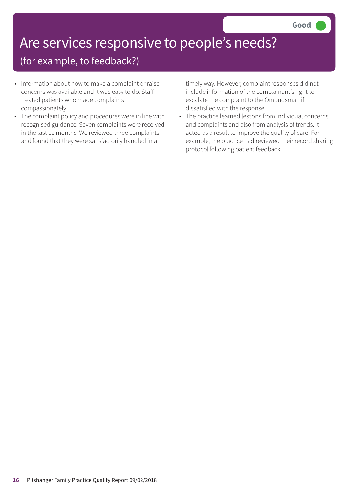## Are services responsive to people's needs?

### (for example, to feedback?)

- Information about how to make a complaint or raise concerns was available and it was easy to do. Staff treated patients who made complaints compassionately.
- The complaint policy and procedures were in line with recognised guidance. Seven complaints were received in the last 12 months. We reviewed three complaints and found that they were satisfactorily handled in a

timely way. However, complaint responses did not include information of the complainant's right to escalate the complaint to the Ombudsman if dissatisfied with the response.

• The practice learned lessons from individual concerns and complaints and also from analysis of trends. It acted as a result to improve the quality of care. For example, the practice had reviewed their record sharing protocol following patient feedback.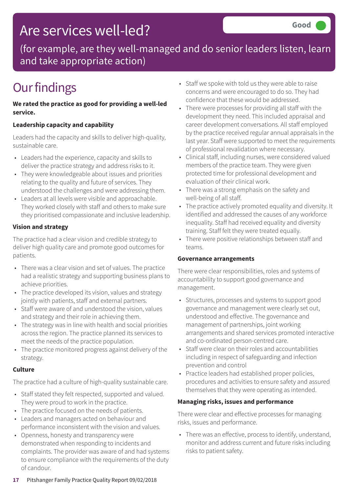### Are services well-led?

(for example, are they well-managed and do senior leaders listen, learn and take appropriate action)

## **Our findings**

#### **We rated the practice as good for providing a well-led service.**

#### **Leadership capacity and capability**

Leaders had the capacity and skills to deliver high-quality, sustainable care.

- Leaders had the experience, capacity and skills to deliver the practice strategy and address risks to it.
- They were knowledgeable about issues and priorities relating to the quality and future of services. They understood the challenges and were addressing them.
- Leaders at all levels were visible and approachable. They worked closely with staff and others to make sure they prioritised compassionate and inclusive leadership.

#### **Vision and strategy**

The practice had a clear vision and credible strategy to deliver high quality care and promote good outcomes for patients.

- There was a clear vision and set of values. The practice had a realistic strategy and supporting business plans to achieve priorities.
- The practice developed its vision, values and strategy jointly with patients, staff and external partners.
- Staff were aware of and understood the vision, values and strategy and their role in achieving them.
- The strategy was in line with health and social priorities across the region. The practice planned its services to meet the needs of the practice population.
- The practice monitored progress against delivery of the strategy.

#### **Culture**

The practice had a culture of high-quality sustainable care.

- Staff stated they felt respected, supported and valued. They were proud to work in the practice.
- The practice focused on the needs of patients.
- Leaders and managers acted on behaviour and performance inconsistent with the vision and values.
- Openness, honesty and transparency were demonstrated when responding to incidents and complaints. The provider was aware of and had systems to ensure compliance with the requirements of the duty of candour.
- Staff we spoke with told us they were able to raise concerns and were encouraged to do so. They had confidence that these would be addressed.
- There were processes for providing all staff with the development they need. This included appraisal and career development conversations. All staff employed by the practice received regular annual appraisals in the last year. Staff were supported to meet the requirements of professional revalidation where necessary.
- Clinical staff, including nurses, were considered valued members of the practice team. They were given protected time for professional development and evaluation of their clinical work.
- There was a strong emphasis on the safety and well-being of all staff.
- The practice actively promoted equality and diversity. It identified and addressed the causes of any workforce inequality. Staff had received equality and diversity training. Staff felt they were treated equally.
- There were positive relationships between staff and teams.

#### **Governance arrangements**

There were clear responsibilities, roles and systems of accountability to support good governance and management.

- Structures, processes and systems to support good governance and management were clearly set out, understood and effective. The governance and management of partnerships, joint working arrangements and shared services promoted interactive and co-ordinated person-centred care.
- Staff were clear on their roles and accountabilities including in respect of safeguarding and infection prevention and control
- Practice leaders had established proper policies, procedures and activities to ensure safety and assured themselves that they were operating as intended.

#### **Managing risks, issues and performance**

There were clear and effective processes for managing risks, issues and performance.

• There was an effective, process to identify, understand, monitor and address current and future risks including risks to patient safety.